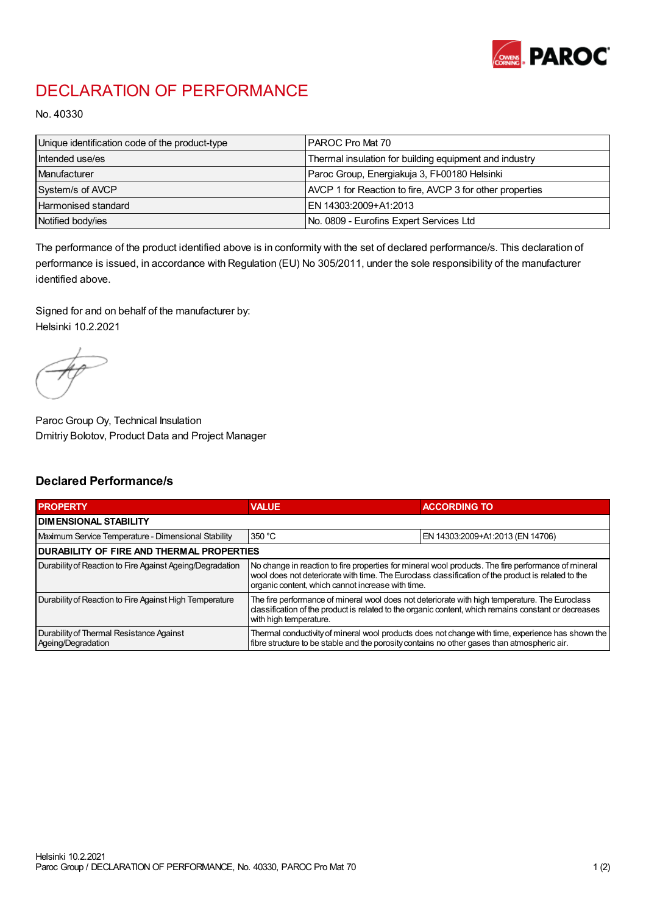

## DECLARATION OF PERFORMANCE

No. 40330

| Unique identification code of the product-type | IPAROC Pro Mat 70                                        |
|------------------------------------------------|----------------------------------------------------------|
| Intended use/es                                | Thermal insulation for building equipment and industry   |
| Manufacturer                                   | Paroc Group, Energiakuja 3, FI-00180 Helsinki            |
| System/s of AVCP                               | AVCP 1 for Reaction to fire, AVCP 3 for other properties |
| Harmonised standard                            | IEN 14303:2009+A1:2013                                   |
| Notified body/ies                              | No. 0809 - Eurofins Expert Services Ltd                  |

The performance of the product identified above is in conformity with the set of declared performance/s. This declaration of performance is issued, in accordance with Regulation (EU) No 305/2011, under the sole responsibility of the manufacturer identified above.

Signed for and on behalf of the manufacturer by: Helsinki 10.2.2021

Paroc Group Oy, Technical Insulation Dmitriy Bolotov, Product Data and Project Manager

## Declared Performance/s

| <b>PROPERTY</b>                                                | <b>VALUE</b>                                                                                                                                                                                                                                                   | <b>ACCORDING TO</b>              |  |  |
|----------------------------------------------------------------|----------------------------------------------------------------------------------------------------------------------------------------------------------------------------------------------------------------------------------------------------------------|----------------------------------|--|--|
| <b>DIMENSIONAL STABILITY</b>                                   |                                                                                                                                                                                                                                                                |                                  |  |  |
| Maximum Service Temperature - Dimensional Stability            | 350 °C                                                                                                                                                                                                                                                         | EN 14303:2009+A1:2013 (EN 14706) |  |  |
| <b>DURABILITY OF FIRE AND THERMAL PROPERTIES</b>               |                                                                                                                                                                                                                                                                |                                  |  |  |
| Durability of Reaction to Fire Against Ageing/Degradation      | No change in reaction to fire properties for mineral wool products. The fire performance of mineral<br>wool does not deteriorate with time. The Euroclass classification of the product is related to the<br>organic content, which cannot increase with time. |                                  |  |  |
| Durability of Reaction to Fire Against High Temperature        | The fire performance of mineral wool does not deteriorate with high temperature. The Euroclass<br>classification of the product is related to the organic content, which remains constant or decreases<br>with high temperature.                               |                                  |  |  |
| Durability of Thermal Resistance Against<br>Ageing/Degradation | Thermal conductivity of mineral wool products does not change with time, experience has shown the<br>fibre structure to be stable and the porosity contains no other gases than atmospheric air.                                                               |                                  |  |  |